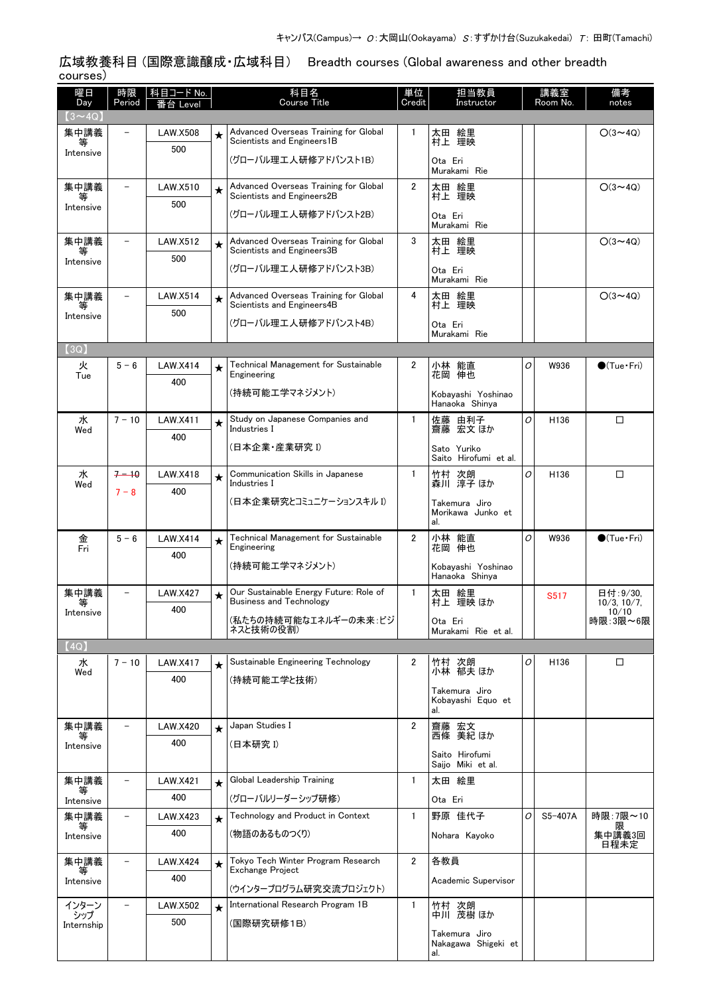広域教養科目 (国際意識醸成・広域科目) Breadth courses (Global awareness and other breadth courses)

| 曜日                   | 時限                       | 科目コード No.       |            | 科目名<br><b>Course Title</b>                                               | 単位             | 担当教員                                      |   | 講義室              | 備考                          |
|----------------------|--------------------------|-----------------|------------|--------------------------------------------------------------------------|----------------|-------------------------------------------|---|------------------|-----------------------------|
| Day<br>$(3 \sim 4Q)$ | Period                   | 台 Level         |            |                                                                          | Credit         | Instructor                                |   | Room No.         | notes                       |
| 集中講義<br>等            |                          | <b>LAW.X508</b> | $\star$    | Advanced Overseas Training for Global<br>Scientists and Engineers1B      | 1              | 太田 絵里<br>村上 理映                            |   |                  | $O(3 \sim 4Q)$              |
| Intensive            |                          | 500             |            | (グローバル理工人研修アドバンスト1B)                                                     |                | Ota Eri<br>Murakami Rie                   |   |                  |                             |
| 集中講義                 | $\overline{\phantom{m}}$ | LAW.X510        | $\star$    | Advanced Overseas Training for Global                                    | 2              | 太田 絵里                                     |   |                  | $O(3 \sim 4Q)$              |
| 等<br>Intensive       |                          | 500             |            | Scientists and Engineers2B<br>(グローバル理工人研修アドバンスト2B)                       |                | 村上 理映<br>Ota Eri                          |   |                  |                             |
| 集中講義                 |                          | <b>LAW.X512</b> |            | Advanced Overseas Training for Global                                    | 3              | Murakami Rie<br>太田 絵里                     |   |                  | $O(3 \sim 4Q)$              |
| 等<br>Intensive       |                          | 500             | $\bigstar$ | Scientists and Engineers3B                                               |                | 村上 理映                                     |   |                  |                             |
|                      |                          |                 |            | (グローバル理工人研修アドバンスト3B)                                                     |                | Ota Eri<br>Murakami Rie                   |   |                  |                             |
| 集中講義<br>等            |                          | <b>LAW.X514</b> | $\star$    | Advanced Overseas Training for Global<br>Scientists and Engineers4B      | 4              | 太田 絵里<br>村上 理映                            |   |                  | $O(3 \sim 4Q)$              |
| Intensive            |                          | 500             |            | (グローバル理工人研修アドバンスト4B)                                                     |                | Ota Eri<br>Murakami Rie                   |   |                  |                             |
| [3Q]                 |                          |                 |            |                                                                          |                |                                           |   |                  |                             |
| 火<br>Tue             | $5 - 6$                  | <b>LAW.X414</b> | ★          | <b>Technical Management for Sustainable</b><br>Engineering               | 2              | 小林 能直<br>花岡<br>伸也                         | 0 | W936             | $\bigcirc$ (Tue · Fri)      |
|                      |                          | 400             |            | (持続可能工学マネジメント)                                                           |                | Kobayashi Yoshinao<br>Hanaoka Shinya      |   |                  |                             |
| 水                    | $7 - 10$                 | LAW.X411        | $\star$    | Study on Japanese Companies and<br>Industries I                          | $\mathbf{1}$   | 佐藤<br>由利子<br>齋藤 宏文 ほか                     | O | H <sub>136</sub> | □                           |
| Wed                  |                          | 400             |            | (日本企業・産業研究 I)                                                            |                | Sato Yuriko                               |   |                  |                             |
| 水                    | $7 - 10$                 | <b>LAW.X418</b> | $\star$    | Communication Skills in Japanese                                         | $\mathbf{1}$   | Saito Hirofumi et al.<br>竹村 次朗<br>森川 淳子ほか | O | H136             | □                           |
| Wed                  | $7 - 8$                  | 400             |            | Industries I                                                             |                |                                           |   |                  |                             |
|                      |                          |                 |            | (日本企業研究とコミュニケーションスキル I)                                                  |                | Takemura Jiro<br>Morikawa Junko et<br>al. |   |                  |                             |
| 金<br>Fri             | $5 - 6$                  | <b>LAW.X414</b> | $\star$    | Technical Management for Sustainable<br>Engineering                      | $\overline{2}$ | 小林 能直<br>花岡 伸也                            | 0 | W936             | $\bullet$ (Tue $\cdot$ Fri) |
|                      |                          | 400             |            | (持続可能工学マネジメント)                                                           |                | Kobavashi Yoshinao                        |   |                  |                             |
|                      |                          |                 |            |                                                                          |                | Hanaoka Shinya                            |   |                  |                             |
| 集中講義<br>等            |                          | <b>LAW.X427</b> | $\star$    | Our Sustainable Energy Future: Role of<br><b>Business and Technology</b> | $\mathbf{1}$   | 太田 絵里<br>村上 理映 ほか                         |   | S517             | 日付:9/30,<br>10/3, 10/7,     |
| Intensive            |                          | 400             |            | (私たちの持続可能なエネルギーの未来 :ビジ                                                   |                | Ota Eri                                   |   |                  | 10/10<br>時限:3限~6限           |
|                      |                          |                 |            | ネスと技術の役割)                                                                |                | Murakami Rie et al.                       |   |                  |                             |
| (4Q)<br>水            | $7 - 10$                 | <b>LAW.X417</b> | $\star$    | Sustainable Engineering Technology                                       | 2              | 竹村 次朗                                     | 0 | H136             | □                           |
| Wed                  |                          | 400             |            | (持続可能工学と技術)                                                              |                | 小林 郁夫 ほか                                  |   |                  |                             |
|                      |                          |                 |            |                                                                          |                | Takemura Jiro<br>Kobayashi Equo et<br>al. |   |                  |                             |
| 集中講義<br>等            | $\overline{\phantom{0}}$ | <b>LAW.X420</b> | $\star$    | Japan Studies I                                                          | 2              | 齋藤 宏文<br>西條 美紀 ほか                         |   |                  |                             |
| Intensive            |                          | 400             |            | (日本研究 I)                                                                 |                | Saito Hirofumi                            |   |                  |                             |
|                      |                          |                 |            |                                                                          |                | Saijo Miki et al.                         |   |                  |                             |
| 集中講義<br>等            |                          | <b>LAW.X421</b> | $\star$    | Global Leadership Training                                               | 1              | 太田 絵里                                     |   |                  |                             |
| Intensive            |                          | 400             |            | (グローバルリーダーシップ研修)                                                         |                | Ota Eri                                   |   |                  |                             |
| 集中講義<br>等            |                          | LAW.X423<br>400 | $\star$    | Technology and Product in Context                                        | $\mathbf{1}$   | 野原 佳代子                                    | 0 | S5-407A          | 時限:7限~10                    |
| Intensive            |                          |                 |            | (物語のあるものつくり)                                                             |                | Nohara Kayoko                             |   |                  | 日程未定                        |
| 集中講義<br>等            |                          | LAW.X424        | $\star$    | Tokyo Tech Winter Program Research<br>Exchange Project                   | 2              | 各教員                                       |   |                  |                             |
| Intensive            |                          | 400             |            | (ウインタープログラム研究交流プロジェクト)                                                   |                | Academic Supervisor                       |   |                  |                             |
| インターン                |                          | <b>LAW.X502</b> | $\star$    | International Research Program 1B                                        | $\mathbf{1}$   | 竹村 次朗<br>中川 茂樹 ほか                         |   |                  |                             |
| シップ<br>Internship    |                          | 500             |            | (国際研究研修1B)                                                               |                | Takemura Jiro                             |   |                  |                             |
|                      |                          |                 |            |                                                                          |                | Nakagawa Shigeki et<br>al.                |   |                  |                             |